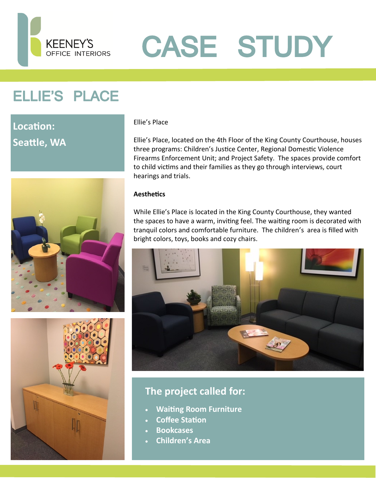

# CASE STUDY

## ELLIE'S PLACE

## **Location: Seattle, WA**





#### Ellie's Place

Ellie's Place, located on the 4th Floor of the King County Courthouse, houses three programs: Children's Justice Center, Regional Domestic Violence Firearms Enforcement Unit; and Project Safety. The spaces provide comfort to child victims and their families as they go through interviews, court hearings and trials.

#### **Aesthetics**

While Ellie's Place is located in the King County Courthouse, they wanted the spaces to have a warm, inviting feel. The waiting room is decorated with tranquil colors and comfortable furniture. The children's area is filled with bright colors, toys, books and cozy chairs.



### **The project called for:**

- **Waiting Room Furniture**
- **Coffee Station**
- **Bookcases**
- **Children's Area**